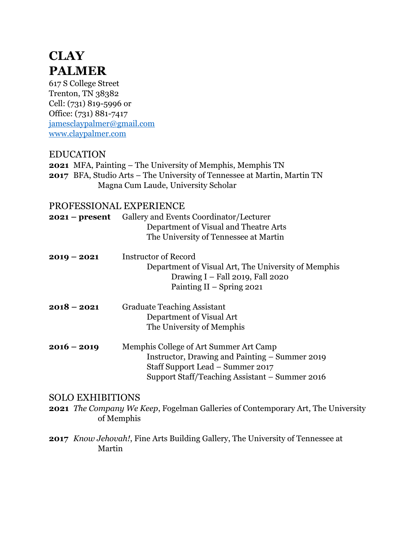# **CLAY PALMER**

617 S College Street Trenton, TN 38382 Cell: (731) 819-5996 or Office: (731) 881-7417 [jamesclaypalmer@gmail.com](mailto:jamesclaypalmer@gmail.com) [www.claypalmer.com](http://www.claypalmer.com/)

## EDUCATION

**2021** MFA, Painting – The University of Memphis, Memphis TN **2017** BFA, Studio Arts – The University of Tennessee at Martin, Martin TN Magna Cum Laude, University Scholar

## PROFESSIONAL EXPERIENCE

| 2021 – present          | Gallery and Events Coordinator/Lecturer<br>Department of Visual and Theatre Arts<br>The University of Tennessee at Martin                                                      |
|-------------------------|--------------------------------------------------------------------------------------------------------------------------------------------------------------------------------|
| $2019 - 2021$           | <b>Instructor of Record</b><br>Department of Visual Art, The University of Memphis<br>Drawing I - Fall 2019, Fall 2020<br>Painting II - Spring 2021                            |
| $2018 - 2021$           | <b>Graduate Teaching Assistant</b><br>Department of Visual Art<br>The University of Memphis                                                                                    |
| $2016 - 2019$           | Memphis College of Art Summer Art Camp<br>Instructor, Drawing and Painting – Summer 2019<br>Staff Support Lead - Summer 2017<br>Support Staff/Teaching Assistant – Summer 2016 |
| <b>SOLO EXHIBITIONS</b> | <b>2021</b> <i>The Company We Keep</i> , Fogelman Galleries of Contemporary Art, The University<br>of Memphis                                                                  |
| Martin                  | <b>2017</b> <i>Know Jehovah!</i> , Fine Arts Building Gallery, The University of Tennessee at                                                                                  |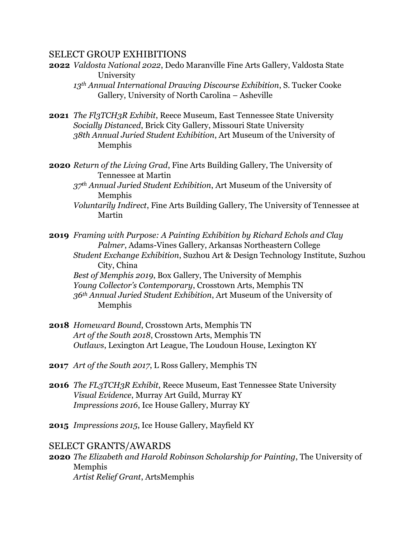#### SELECT GROUP EXHIBITIONS

**2022** *Valdosta National 2022*, Dedo Maranville Fine Arts Gallery, Valdosta State University

*13th Annual International Drawing Discourse Exhibition*, S. Tucker Cooke Gallery, University of North Carolina – Asheville

- **2021** *The Fl3TCH3R Exhibit*, Reece Museum, East Tennessee State University *Socially Distanced*, Brick City Gallery, Missouri State University *38th Annual Juried Student Exhibition*, Art Museum of the University of Memphis
- **2020** *Return of the Living Grad*, Fine Arts Building Gallery, The University of Tennessee at Martin
	- *37th Annual Juried Student Exhibition*, Art Museum of the University of Memphis
	- *Voluntarily Indirect*, Fine Arts Building Gallery, The University of Tennessee at Martin

**2019** *Framing with Purpose: A Painting Exhibition by Richard Echols and Clay Palmer*, Adams-Vines Gallery, Arkansas Northeastern College *Student Exchange Exhibition*, Suzhou Art & Design Technology Institute, Suzhou City, China *Best of Memphis 2019*, Box Gallery, The University of Memphis *Young Collector's Contemporary*, Crosstown Arts, Memphis TN *36th Annual Juried Student Exhibition*, Art Museum of the University of Memphis

- **2018** *Homeward Bound*, Crosstown Arts, Memphis TN *Art of the South 2018*, Crosstown Arts, Memphis TN *Outlaws*, Lexington Art League, The Loudoun House, Lexington KY
- **2017** *Art of the South 2017*, L Ross Gallery, Memphis TN
- **2016** *The FL3TCH3R Exhibit*, Reece Museum, East Tennessee State University *Visual Evidence*, Murray Art Guild, Murray KY *Impressions 2016*, Ice House Gallery, Murray KY
- **2015** *Impressions 2015*, Ice House Gallery, Mayfield KY

#### SELECT GRANTS/AWARDS

**2020** *The Elizabeth and Harold Robinson Scholarship for Painting*, The University of Memphis *Artist Relief Grant*, ArtsMemphis